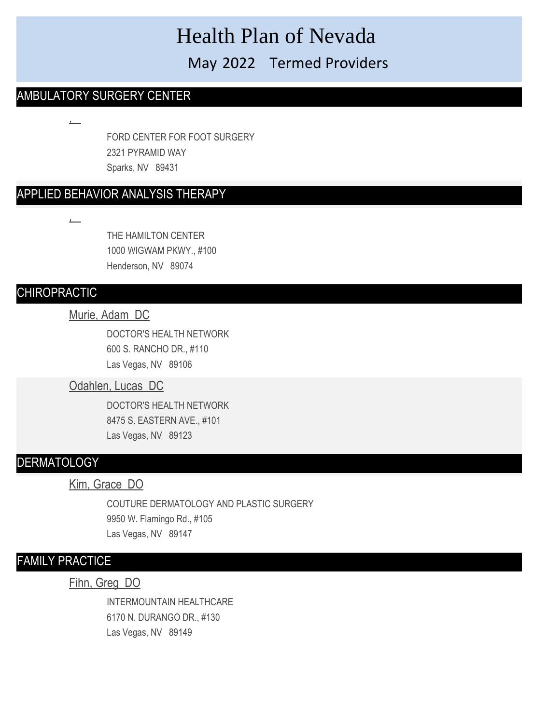# Health Plan of Nevada

May 2022 Termed Providers

# AMBULATORY SURGERY CENTER

FORD CENTER FOR FOOT SURGERY 2321 PYRAMID WAY Sparks, NV 89431

# APPLIED BEHAVIOR ANALYSIS THERAPY

,

,

THE HAMILTON CENTER 1000 WIGWAM PKWY., #100 Henderson, NV 89074

### CHIROPRACTIC

## Murie, Adam DC

DOCTOR'S HEALTH NETWORK 600 S. RANCHO DR., #110 Las Vegas, NV 89106

## Odahlen, Lucas DC

DOCTOR'S HEALTH NETWORK 8475 S. EASTERN AVE., #101 Las Vegas, NV 89123

## **DERMATOLOGY**

#### Kim, Grace DO

COUTURE DERMATOLOGY AND PLASTIC SURGERY 9950 W. Flamingo Rd., #105 Las Vegas, NV 89147

# FAMILY PRACTICE

Fihn, Greg DO

INTERMOUNTAIN HEALTHCARE 6170 N. DURANGO DR., #130 Las Vegas, NV 89149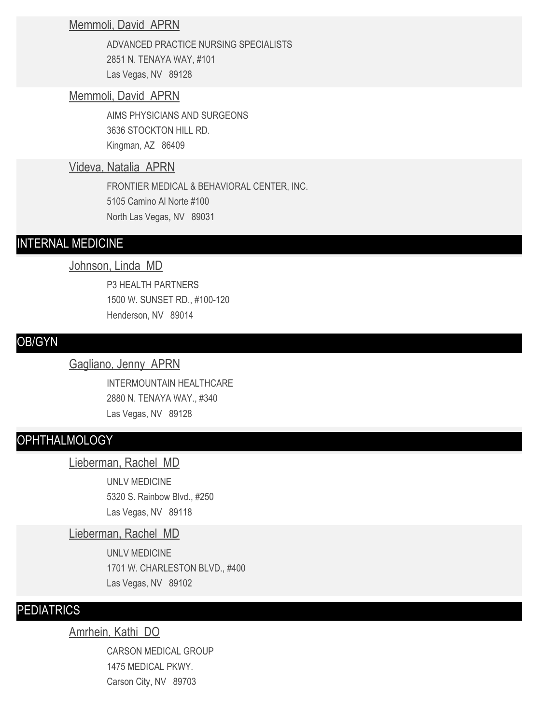#### Memmoli, David APRN

ADVANCED PRACTICE NURSING SPECIALISTS 2851 N. TENAYA WAY, #101 Las Vegas, NV 89128

#### Memmoli, David APRN

AIMS PHYSICIANS AND SURGEONS 3636 STOCKTON HILL RD. Kingman, AZ 86409

#### Videva, Natalia APRN

FRONTIER MEDICAL & BEHAVIORAL CENTER, INC. 5105 Camino Al Norte #100 North Las Vegas, NV 89031

## INTERNAL MEDICINE

### Johnson, Linda MD

P3 HEALTH PARTNERS 1500 W. SUNSET RD., #100-120 Henderson, NV 89014

## OB/GYN

#### Gagliano, Jenny APRN

INTERMOUNTAIN HEALTHCARE 2880 N. TENAYA WAY., #340 Las Vegas, NV 89128

## OPHTHALMOLOGY

#### Lieberman, Rachel MD

UNLV MEDICINE 5320 S. Rainbow Blvd., #250 Las Vegas, NV 89118

#### Lieberman, Rachel MD

UNLV MEDICINE 1701 W. CHARLESTON BLVD., #400 Las Vegas, NV 89102

## **PEDIATRICS**

## Amrhein, Kathi DO

CARSON MEDICAL GROUP 1475 MEDICAL PKWY. Carson City, NV 89703